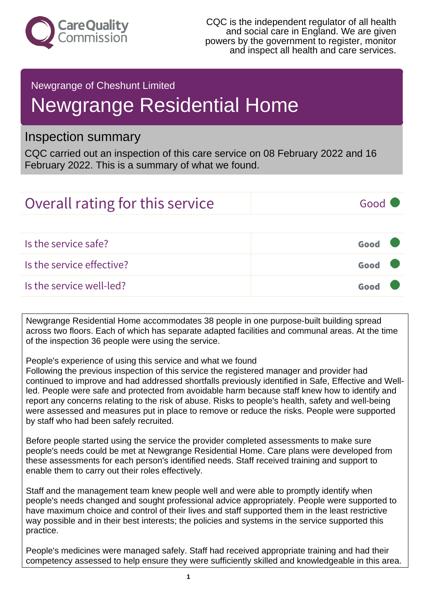

### Newgrange of Cheshunt Limited

# Newgrange Residential Home

## Inspection summary

CQC carried out an inspection of this care service on 08 February 2022 and 16 February 2022. This is a summary of what we found.

| Overall rating for this service | Good <b>T</b> |
|---------------------------------|---------------|
|                                 |               |
| Is the service safe?            | Good          |
| Is the service effective?       | Good          |
| Is the service well-led?        | Good          |

Newgrange Residential Home accommodates 38 people in one purpose-built building spread across two floors. Each of which has separate adapted facilities and communal areas. At the time of the inspection 36 people were using the service.

People's experience of using this service and what we found

Following the previous inspection of this service the registered manager and provider had continued to improve and had addressed shortfalls previously identified in Safe, Effective and Wellled. People were safe and protected from avoidable harm because staff knew how to identify and report any concerns relating to the risk of abuse. Risks to people's health, safety and well-being were assessed and measures put in place to remove or reduce the risks. People were supported by staff who had been safely recruited.

Before people started using the service the provider completed assessments to make sure people's needs could be met at Newgrange Residential Home. Care plans were developed from these assessments for each person's identified needs. Staff received training and support to enable them to carry out their roles effectively.

Staff and the management team knew people well and were able to promptly identify when people's needs changed and sought professional advice appropriately. People were supported to have maximum choice and control of their lives and staff supported them in the least restrictive way possible and in their best interests; the policies and systems in the service supported this practice.

People's medicines were managed safely. Staff had received appropriate training and had their competency assessed to help ensure they were sufficiently skilled and knowledgeable in this area.